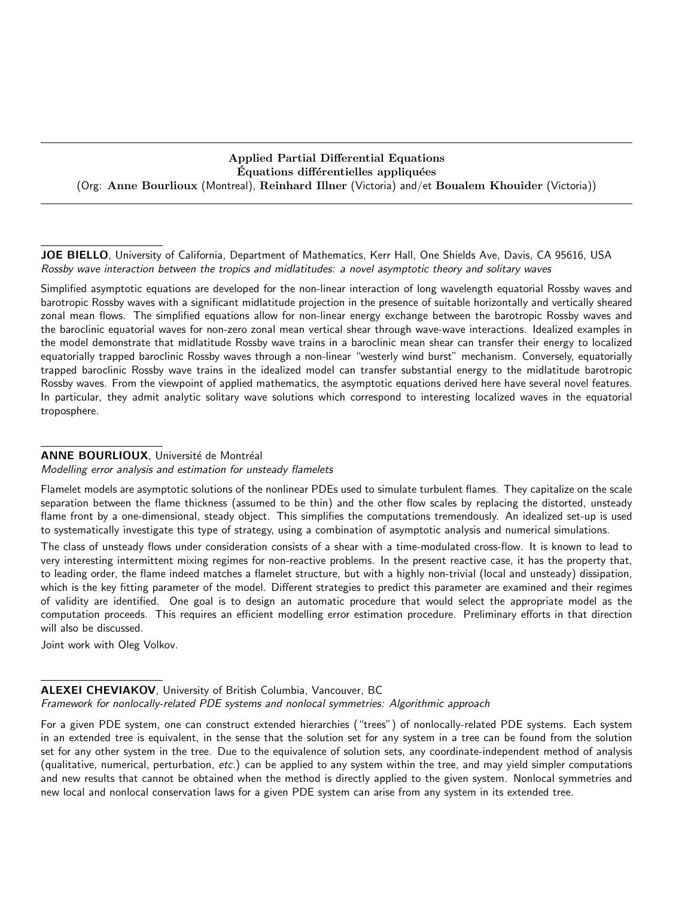# Applied Partial Differential Equations Equations differentielles appliquées (Org: Anne Bourlioux (Montreal), Reinhard Illner (Victoria) and/et Boualem Khouider (Victoria))

JOE BIELLO, University of California, Department of Mathematics, Kerr Hall, One Shields Ave, Davis, CA 95616, USA Rossby wave interaction between the tropics and midlatitudes: a novel asymptotic theory and solitary waves

Simplified asymptotic equations are developed for the non-linear interaction of long wavelength equatorial Rossby waves and barotropic Rossby waves with a significant midlatitude projection in the presence of suitable horizontally and vertically sheared zonal mean flows. The simplified equations allow for non-linear energy exchange between the barotropic Rossby waves and the baroclinic equatorial waves for non-zero zonal mean vertical shear through wave-wave interactions. Idealized examples in the model demonstrate that midlatitude Rossby wave trains in a baroclinic mean shear can transfer their energy to localized equatorially trapped baroclinic Rossby waves through a non-linear "westerly wind burst" mechanism. Conversely, equatorially trapped baroclinic Rossby wave trains in the idealized model can transfer substantial energy to the midlatitude barotropic Rossby waves. From the viewpoint of applied mathematics, the asymptotic equations derived here have several novel features. In particular, they admit analytic solitary wave solutions which correspond to interesting localized waves in the equatorial troposphere.

# ANNE BOURLIOUX, Université de Montréal

Modelling error analysis and estimation for unsteady flamelets

Flamelet models are asymptotic solutions of the nonlinear PDEs used to simulate turbulent flames. They capitalize on the scale separation between the flame thickness (assumed to be thin) and the other flow scales by replacing the distorted, unsteady flame front by a one-dimensional, steady object. This simplifies the computations tremendously. An idealized set-up is used to systematically investigate this type of strategy, using a combination of asymptotic analysis and numerical simulations.

The class of unsteady flows under consideration consists of a shear with a time-modulated cross-flow. It is known to lead to very interesting intermittent mixing regimes for non-reactive problems. In the present reactive case, it has the property that, to leading order, the flame indeed matches a flamelet structure, but with a highly non-trivial (local and unsteady) dissipation, which is the key fitting parameter of the model. Different strategies to predict this parameter are examined and their regimes of validity are identified. One goal is to design an automatic procedure that would select the appropriate model as the computation proceeds. This requires an efficient modelling error estimation procedure. Preliminary efforts in that direction will also be discussed.

Joint work with Oleg Volkov.

## ALEXEI CHEVIAKOV, University of British Columbia, Vancouver, BC Framework for nonlocally-related PDE systems and nonlocal symmetries: Algorithmic approach

For a given PDE system, one can construct extended hierarchies ("trees") of nonlocally-related PDE systems. Each system in an extended tree is equivalent, in the sense that the solution set for any system in a tree can be found from the solution set for any other system in the tree. Due to the equivalence of solution sets, any coordinate-independent method of analysis (qualitative, numerical, perturbation, etc.) can be applied to any system within the tree, and may yield simpler computations and new results that cannot be obtained when the method is directly applied to the given system. Nonlocal symmetries and new local and nonlocal conservation laws for a given PDE system can arise from any system in its extended tree.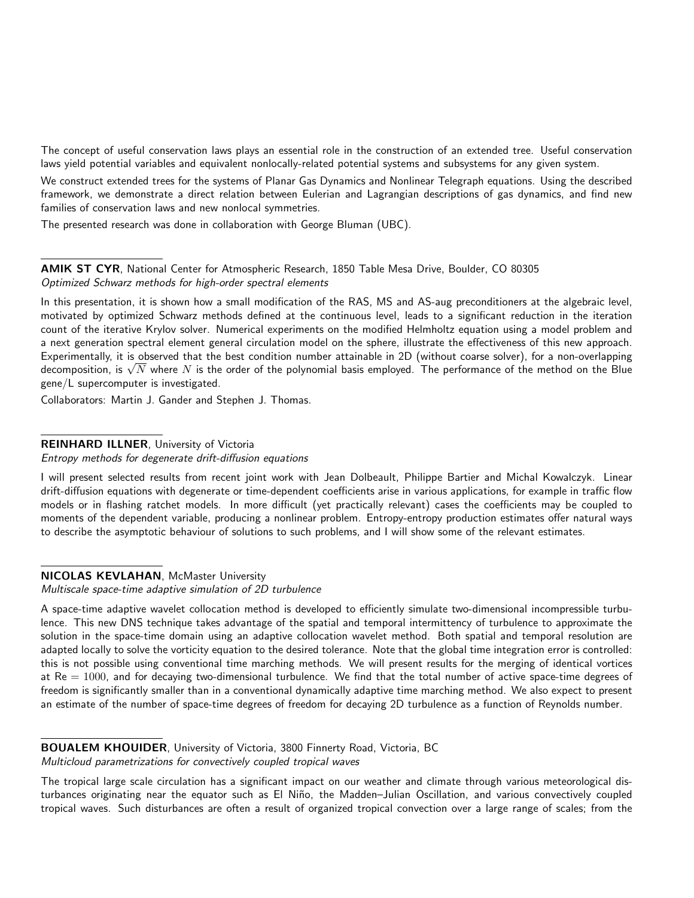The concept of useful conservation laws plays an essential role in the construction of an extended tree. Useful conservation laws yield potential variables and equivalent nonlocally-related potential systems and subsystems for any given system.

We construct extended trees for the systems of Planar Gas Dynamics and Nonlinear Telegraph equations. Using the described framework, we demonstrate a direct relation between Eulerian and Lagrangian descriptions of gas dynamics, and find new families of conservation laws and new nonlocal symmetries.

The presented research was done in collaboration with George Bluman (UBC).

AMIK ST CYR, National Center for Atmospheric Research, 1850 Table Mesa Drive, Boulder, CO 80305 Optimized Schwarz methods for high-order spectral elements

In this presentation, it is shown how a small modification of the RAS, MS and AS-aug preconditioners at the algebraic level, motivated by optimized Schwarz methods defined at the continuous level, leads to a significant reduction in the iteration count of the iterative Krylov solver. Numerical experiments on the modified Helmholtz equation using a model problem and a next generation spectral element general circulation model on the sphere, illustrate the effectiveness of this new approach. Experimentally, it is observed that the best condition number attainable in 2D (without coarse solver), for a non-overlapping Experimentally, it is observed that the best condition number attainable in 2D (without coarse solver), for a non-overlapping<br>decomposition, is √N where N is the order of the polynomial basis employed. The performance of gene/L supercomputer is investigated.

Collaborators: Martin J. Gander and Stephen J. Thomas.

#### REINHARD ILLNER, University of Victoria

Entropy methods for degenerate drift-diffusion equations

I will present selected results from recent joint work with Jean Dolbeault, Philippe Bartier and Michal Kowalczyk. Linear drift-diffusion equations with degenerate or time-dependent coefficients arise in various applications, for example in traffic flow models or in flashing ratchet models. In more difficult (yet practically relevant) cases the coefficients may be coupled to moments of the dependent variable, producing a nonlinear problem. Entropy-entropy production estimates offer natural ways to describe the asymptotic behaviour of solutions to such problems, and I will show some of the relevant estimates.

#### NICOLAS KEVLAHAN, McMaster University

Multiscale space-time adaptive simulation of 2D turbulence

A space-time adaptive wavelet collocation method is developed to efficiently simulate two-dimensional incompressible turbulence. This new DNS technique takes advantage of the spatial and temporal intermittency of turbulence to approximate the solution in the space-time domain using an adaptive collocation wavelet method. Both spatial and temporal resolution are adapted locally to solve the vorticity equation to the desired tolerance. Note that the global time integration error is controlled: this is not possible using conventional time marching methods. We will present results for the merging of identical vortices at  $Re = 1000$ , and for decaying two-dimensional turbulence. We find that the total number of active space-time degrees of freedom is significantly smaller than in a conventional dynamically adaptive time marching method. We also expect to present an estimate of the number of space-time degrees of freedom for decaying 2D turbulence as a function of Reynolds number.

# BOUALEM KHOUIDER, University of Victoria, 3800 Finnerty Road, Victoria, BC

Multicloud parametrizations for convectively coupled tropical waves

The tropical large scale circulation has a significant impact on our weather and climate through various meteorological disturbances originating near the equator such as El Niño, the Madden–Julian Oscillation, and various convectively coupled tropical waves. Such disturbances are often a result of organized tropical convection over a large range of scales; from the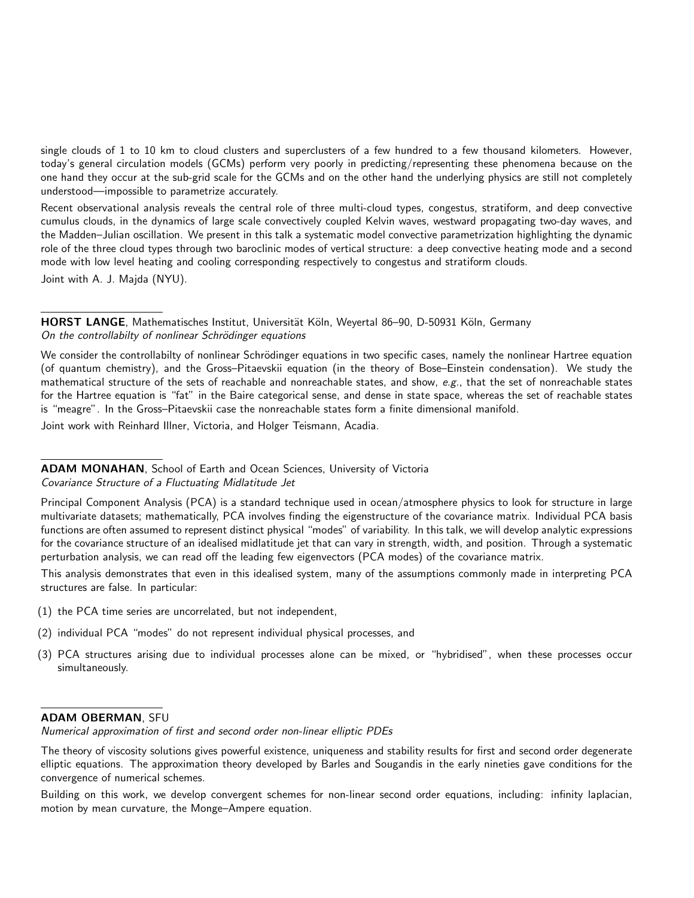single clouds of 1 to 10 km to cloud clusters and superclusters of a few hundred to a few thousand kilometers. However, today's general circulation models (GCMs) perform very poorly in predicting/representing these phenomena because on the one hand they occur at the sub-grid scale for the GCMs and on the other hand the underlying physics are still not completely understood—impossible to parametrize accurately.

Recent observational analysis reveals the central role of three multi-cloud types, congestus, stratiform, and deep convective cumulus clouds, in the dynamics of large scale convectively coupled Kelvin waves, westward propagating two-day waves, and the Madden–Julian oscillation. We present in this talk a systematic model convective parametrization highlighting the dynamic role of the three cloud types through two baroclinic modes of vertical structure: a deep convective heating mode and a second mode with low level heating and cooling corresponding respectively to congestus and stratiform clouds. Joint with A. J. Majda (NYU).

HORST LANGE, Mathematisches Institut, Universität Köln, Weyertal 86–90, D-50931 Köln, Germany On the controllabilty of nonlinear Schrödinger equations

We consider the controllabilty of nonlinear Schrödinger equations in two specific cases, namely the nonlinear Hartree equation (of quantum chemistry), and the Gross–Pitaevskii equation (in the theory of Bose–Einstein condensation). We study the mathematical structure of the sets of reachable and nonreachable states, and show,  $e.g.,$  that the set of nonreachable states for the Hartree equation is "fat" in the Baire categorical sense, and dense in state space, whereas the set of reachable states is "meagre". In the Gross–Pitaevskii case the nonreachable states form a finite dimensional manifold.

Joint work with Reinhard Illner, Victoria, and Holger Teismann, Acadia.

ADAM MONAHAN, School of Earth and Ocean Sciences, University of Victoria Covariance Structure of a Fluctuating Midlatitude Jet

Principal Component Analysis (PCA) is a standard technique used in ocean/atmosphere physics to look for structure in large multivariate datasets; mathematically, PCA involves finding the eigenstructure of the covariance matrix. Individual PCA basis functions are often assumed to represent distinct physical "modes" of variability. In this talk, we will develop analytic expressions for the covariance structure of an idealised midlatitude jet that can vary in strength, width, and position. Through a systematic perturbation analysis, we can read off the leading few eigenvectors (PCA modes) of the covariance matrix.

This analysis demonstrates that even in this idealised system, many of the assumptions commonly made in interpreting PCA structures are false. In particular:

- (1) the PCA time series are uncorrelated, but not independent,
- (2) individual PCA "modes" do not represent individual physical processes, and
- (3) PCA structures arising due to individual processes alone can be mixed, or "hybridised", when these processes occur simultaneously.

## ADAM OBERMAN, SFU

Numerical approximation of first and second order non-linear elliptic PDEs

Building on this work, we develop convergent schemes for non-linear second order equations, including: infinity laplacian, motion by mean curvature, the Monge–Ampere equation.

The theory of viscosity solutions gives powerful existence, uniqueness and stability results for first and second order degenerate elliptic equations. The approximation theory developed by Barles and Sougandis in the early nineties gave conditions for the convergence of numerical schemes.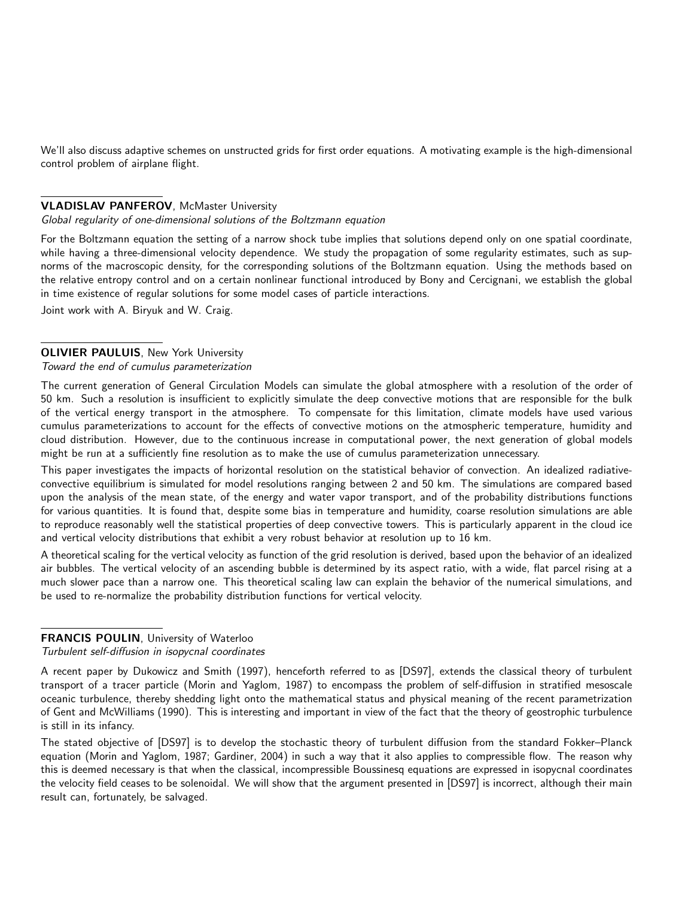We'll also discuss adaptive schemes on unstructed grids for first order equations. A motivating example is the high-dimensional control problem of airplane flight.

#### VLADISLAV PANFEROV, McMaster University

#### Global regularity of one-dimensional solutions of the Boltzmann equation

For the Boltzmann equation the setting of a narrow shock tube implies that solutions depend only on one spatial coordinate, while having a three-dimensional velocity dependence. We study the propagation of some regularity estimates, such as supnorms of the macroscopic density, for the corresponding solutions of the Boltzmann equation. Using the methods based on the relative entropy control and on a certain nonlinear functional introduced by Bony and Cercignani, we establish the global in time existence of regular solutions for some model cases of particle interactions.

Joint work with A. Biryuk and W. Craig.

## **OLIVIER PAULUIS, New York University**

#### Toward the end of cumulus parameterization

The current generation of General Circulation Models can simulate the global atmosphere with a resolution of the order of 50 km. Such a resolution is insufficient to explicitly simulate the deep convective motions that are responsible for the bulk of the vertical energy transport in the atmosphere. To compensate for this limitation, climate models have used various cumulus parameterizations to account for the effects of convective motions on the atmospheric temperature, humidity and cloud distribution. However, due to the continuous increase in computational power, the next generation of global models might be run at a sufficiently fine resolution as to make the use of cumulus parameterization unnecessary.

This paper investigates the impacts of horizontal resolution on the statistical behavior of convection. An idealized radiativeconvective equilibrium is simulated for model resolutions ranging between 2 and 50 km. The simulations are compared based upon the analysis of the mean state, of the energy and water vapor transport, and of the probability distributions functions for various quantities. It is found that, despite some bias in temperature and humidity, coarse resolution simulations are able to reproduce reasonably well the statistical properties of deep convective towers. This is particularly apparent in the cloud ice and vertical velocity distributions that exhibit a very robust behavior at resolution up to 16 km.

A theoretical scaling for the vertical velocity as function of the grid resolution is derived, based upon the behavior of an idealized air bubbles. The vertical velocity of an ascending bubble is determined by its aspect ratio, with a wide, flat parcel rising at a much slower pace than a narrow one. This theoretical scaling law can explain the behavior of the numerical simulations, and be used to re-normalize the probability distribution functions for vertical velocity.

## FRANCIS POULIN, University of Waterloo

#### Turbulent self-diffusion in isopycnal coordinates

A recent paper by Dukowicz and Smith (1997), henceforth referred to as [DS97], extends the classical theory of turbulent transport of a tracer particle (Morin and Yaglom, 1987) to encompass the problem of self-diffusion in stratified mesoscale oceanic turbulence, thereby shedding light onto the mathematical status and physical meaning of the recent parametrization of Gent and McWilliams (1990). This is interesting and important in view of the fact that the theory of geostrophic turbulence is still in its infancy.

The stated objective of [DS97] is to develop the stochastic theory of turbulent diffusion from the standard Fokker–Planck equation (Morin and Yaglom, 1987; Gardiner, 2004) in such a way that it also applies to compressible flow. The reason why this is deemed necessary is that when the classical, incompressible Boussinesq equations are expressed in isopycnal coordinates the velocity field ceases to be solenoidal. We will show that the argument presented in [DS97] is incorrect, although their main result can, fortunately, be salvaged.